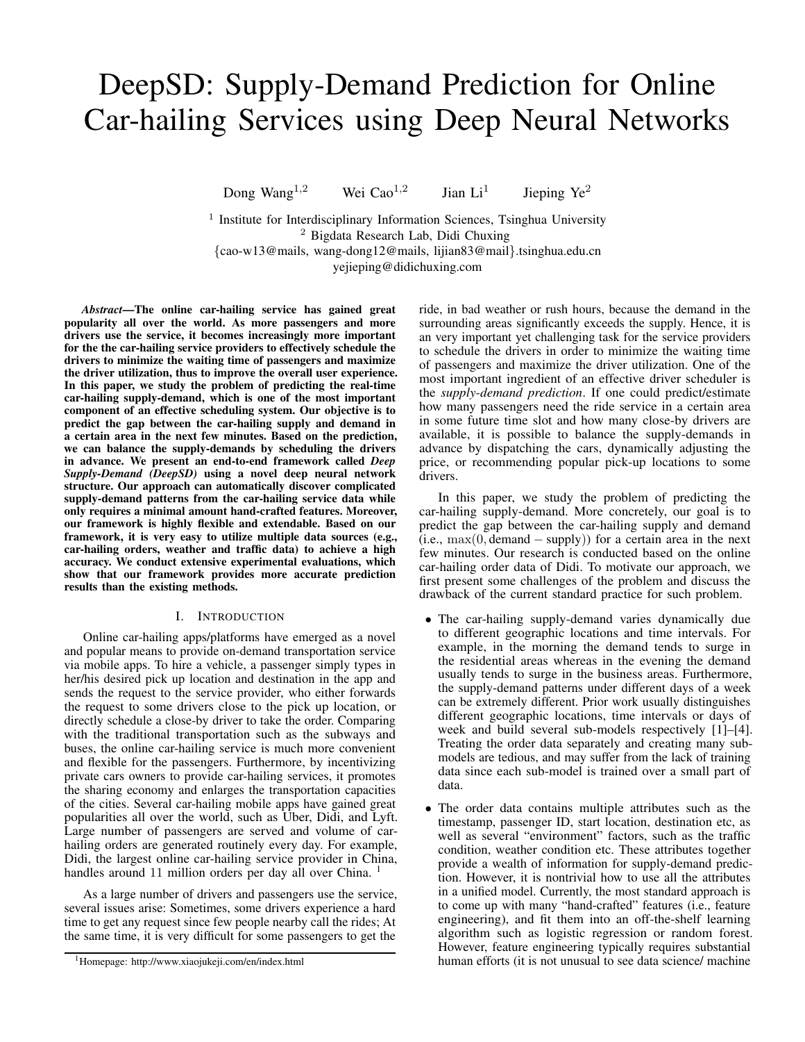# DeepSD: Supply-Demand Prediction for Online Car-hailing Services using Deep Neural Networks

Dong Wang<sup>1,2</sup> Wei Cao<sup>1,2</sup> Jian Li<sup>1</sup> Jieping  $Ye^2$ 

<sup>1</sup> Institute for Interdisciplinary Information Sciences, Tsinghua University <sup>2</sup> Bigdata Research Lab, Didi Chuxing {cao-w13@mails, wang-dong12@mails, lijian83@mail}.tsinghua.edu.cn yejieping@didichuxing.com

*Abstract*—The online car-hailing service has gained great popularity all over the world. As more passengers and more drivers use the service, it becomes increasingly more important for the the car-hailing service providers to effectively schedule the drivers to minimize the waiting time of passengers and maximize the driver utilization, thus to improve the overall user experience. In this paper, we study the problem of predicting the real-time car-hailing supply-demand, which is one of the most important component of an effective scheduling system. Our objective is to predict the gap between the car-hailing supply and demand in a certain area in the next few minutes. Based on the prediction, we can balance the supply-demands by scheduling the drivers in advance. We present an end-to-end framework called *Deep Supply-Demand (DeepSD)* using a novel deep neural network structure. Our approach can automatically discover complicated supply-demand patterns from the car-hailing service data while only requires a minimal amount hand-crafted features. Moreover, our framework is highly flexible and extendable. Based on our framework, it is very easy to utilize multiple data sources (e.g., car-hailing orders, weather and traffic data) to achieve a high accuracy. We conduct extensive experimental evaluations, which show that our framework provides more accurate prediction results than the existing methods.

# I. INTRODUCTION

Online car-hailing apps/platforms have emerged as a novel and popular means to provide on-demand transportation service via mobile apps. To hire a vehicle, a passenger simply types in her/his desired pick up location and destination in the app and sends the request to the service provider, who either forwards the request to some drivers close to the pick up location, or directly schedule a close-by driver to take the order. Comparing with the traditional transportation such as the subways and buses, the online car-hailing service is much more convenient and flexible for the passengers. Furthermore, by incentivizing private cars owners to provide car-hailing services, it promotes the sharing economy and enlarges the transportation capacities of the cities. Several car-hailing mobile apps have gained great popularities all over the world, such as Uber, Didi, and Lyft. Large number of passengers are served and volume of carhailing orders are generated routinely every day. For example, Didi, the largest online car-hailing service provider in China, handles around 11 million orders per day all over China.<sup>1</sup>

As a large number of drivers and passengers use the service, several issues arise: Sometimes, some drivers experience a hard time to get any request since few people nearby call the rides; At the same time, it is very difficult for some passengers to get the ride, in bad weather or rush hours, because the demand in the surrounding areas significantly exceeds the supply. Hence, it is an very important yet challenging task for the service providers to schedule the drivers in order to minimize the waiting time of passengers and maximize the driver utilization. One of the most important ingredient of an effective driver scheduler is the *supply-demand prediction*. If one could predict/estimate how many passengers need the ride service in a certain area in some future time slot and how many close-by drivers are available, it is possible to balance the supply-demands in advance by dispatching the cars, dynamically adjusting the price, or recommending popular pick-up locations to some drivers.

In this paper, we study the problem of predicting the car-hailing supply-demand. More concretely, our goal is to predict the gap between the car-hailing supply and demand (i.e.,  $\max(0, \text{ demand} - \text{ supply})$ ) for a certain area in the next few minutes. Our research is conducted based on the online car-hailing order data of Didi. To motivate our approach, we first present some challenges of the problem and discuss the drawback of the current standard practice for such problem.

- The car-hailing supply-demand varies dynamically due to different geographic locations and time intervals. For example, in the morning the demand tends to surge in the residential areas whereas in the evening the demand usually tends to surge in the business areas. Furthermore, the supply-demand patterns under different days of a week can be extremely different. Prior work usually distinguishes different geographic locations, time intervals or days of week and build several sub-models respectively [1]–[4]. Treating the order data separately and creating many submodels are tedious, and may suffer from the lack of training data since each sub-model is trained over a small part of data.
- The order data contains multiple attributes such as the timestamp, passenger ID, start location, destination etc, as well as several "environment" factors, such as the traffic condition, weather condition etc. These attributes together provide a wealth of information for supply-demand prediction. However, it is nontrivial how to use all the attributes in a unified model. Currently, the most standard approach is to come up with many "hand-crafted" features (i.e., feature engineering), and fit them into an off-the-shelf learning algorithm such as logistic regression or random forest. However, feature engineering typically requires substantial human efforts (it is not unusual to see data science/ machine

<sup>1</sup>Homepage: http://www.xiaojukeji.com/en/index.html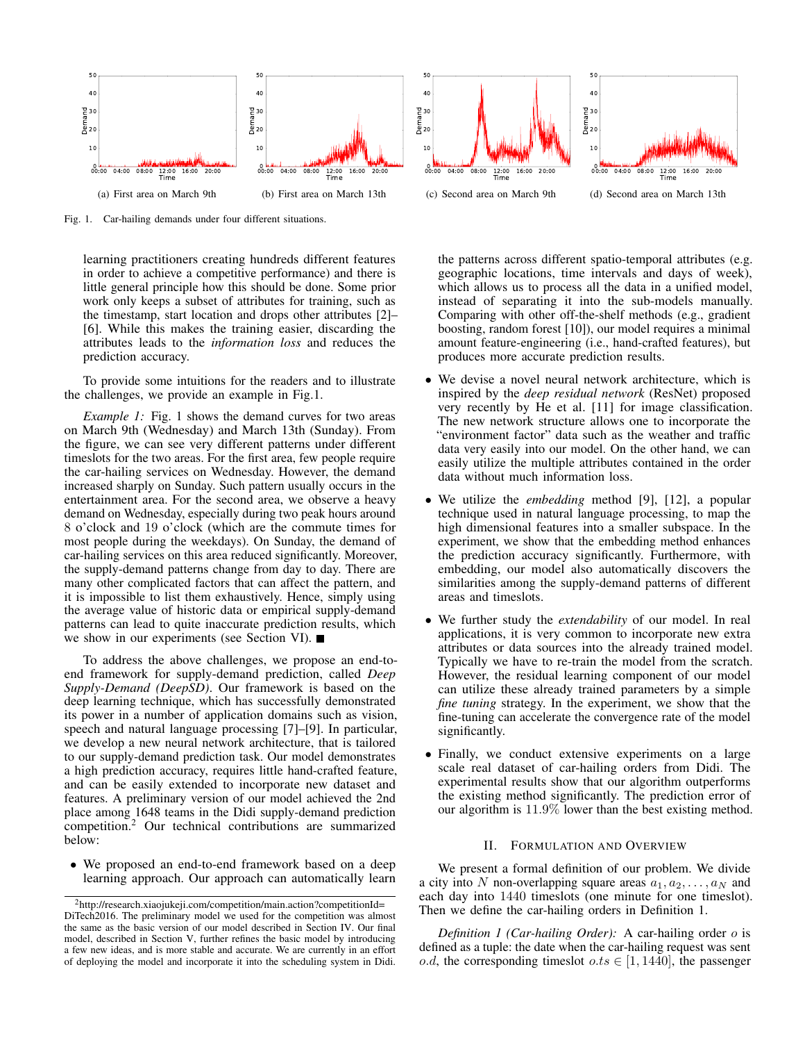

Fig. 1. Car-hailing demands under four different situations.

learning practitioners creating hundreds different features in order to achieve a competitive performance) and there is little general principle how this should be done. Some prior work only keeps a subset of attributes for training, such as the timestamp, start location and drops other attributes [2]– [6]. While this makes the training easier, discarding the attributes leads to the *information loss* and reduces the prediction accuracy.

To provide some intuitions for the readers and to illustrate the challenges, we provide an example in Fig.1.

*Example 1:* Fig. 1 shows the demand curves for two areas on March 9th (Wednesday) and March 13th (Sunday). From the figure, we can see very different patterns under different timeslots for the two areas. For the first area, few people require the car-hailing services on Wednesday. However, the demand increased sharply on Sunday. Such pattern usually occurs in the entertainment area. For the second area, we observe a heavy demand on Wednesday, especially during two peak hours around 8 o'clock and 19 o'clock (which are the commute times for most people during the weekdays). On Sunday, the demand of car-hailing services on this area reduced significantly. Moreover, the supply-demand patterns change from day to day. There are many other complicated factors that can affect the pattern, and it is impossible to list them exhaustively. Hence, simply using the average value of historic data or empirical supply-demand patterns can lead to quite inaccurate prediction results, which we show in our experiments (see Section VI).

To address the above challenges, we propose an end-toend framework for supply-demand prediction, called *Deep Supply-Demand (DeepSD)*. Our framework is based on the deep learning technique, which has successfully demonstrated its power in a number of application domains such as vision, speech and natural language processing [7]–[9]. In particular, we develop a new neural network architecture, that is tailored to our supply-demand prediction task. Our model demonstrates a high prediction accuracy, requires little hand-crafted feature, and can be easily extended to incorporate new dataset and features. A preliminary version of our model achieved the 2nd place among 1648 teams in the Didi supply-demand prediction competition.<sup>2</sup> Our technical contributions are summarized below:

• We proposed an end-to-end framework based on a deep learning approach. Our approach can automatically learn



(d) Second area on March 13th

the patterns across different spatio-temporal attributes (e.g. geographic locations, time intervals and days of week), which allows us to process all the data in a unified model, instead of separating it into the sub-models manually. Comparing with other off-the-shelf methods (e.g., gradient boosting, random forest [10]), our model requires a minimal amount feature-engineering (i.e., hand-crafted features), but produces more accurate prediction results.

- We devise a novel neural network architecture, which is inspired by the *deep residual network* (ResNet) proposed very recently by He et al. [11] for image classification. The new network structure allows one to incorporate the "environment factor" data such as the weather and traffic data very easily into our model. On the other hand, we can easily utilize the multiple attributes contained in the order data without much information loss.
- We utilize the *embedding* method [9], [12], a popular technique used in natural language processing, to map the high dimensional features into a smaller subspace. In the experiment, we show that the embedding method enhances the prediction accuracy significantly. Furthermore, with embedding, our model also automatically discovers the similarities among the supply-demand patterns of different areas and timeslots.
- We further study the *extendability* of our model. In real applications, it is very common to incorporate new extra attributes or data sources into the already trained model. Typically we have to re-train the model from the scratch. However, the residual learning component of our model can utilize these already trained parameters by a simple *fine tuning* strategy. In the experiment, we show that the fine-tuning can accelerate the convergence rate of the model significantly.
- Finally, we conduct extensive experiments on a large scale real dataset of car-hailing orders from Didi. The experimental results show that our algorithm outperforms the existing method significantly. The prediction error of our algorithm is 11.9% lower than the best existing method.

# II. FORMULATION AND OVERVIEW

We present a formal definition of our problem. We divide a city into N non-overlapping square areas  $a_1, a_2, \ldots, a_N$  and each day into 1440 timeslots (one minute for one timeslot). Then we define the car-hailing orders in Definition 1.

*Definition 1 (Car-hailing Order):* A car-hailing order o is defined as a tuple: the date when the car-hailing request was sent *o.d*, the corresponding timeslot  $o.ts \in [1, 1440]$ , the passenger

<sup>2</sup>http://research.xiaojukeji.com/competition/main.action?competitionId= DiTech2016. The preliminary model we used for the competition was almost the same as the basic version of our model described in Section IV. Our final model, described in Section V, further refines the basic model by introducing a few new ideas, and is more stable and accurate. We are currently in an effort of deploying the model and incorporate it into the scheduling system in Didi.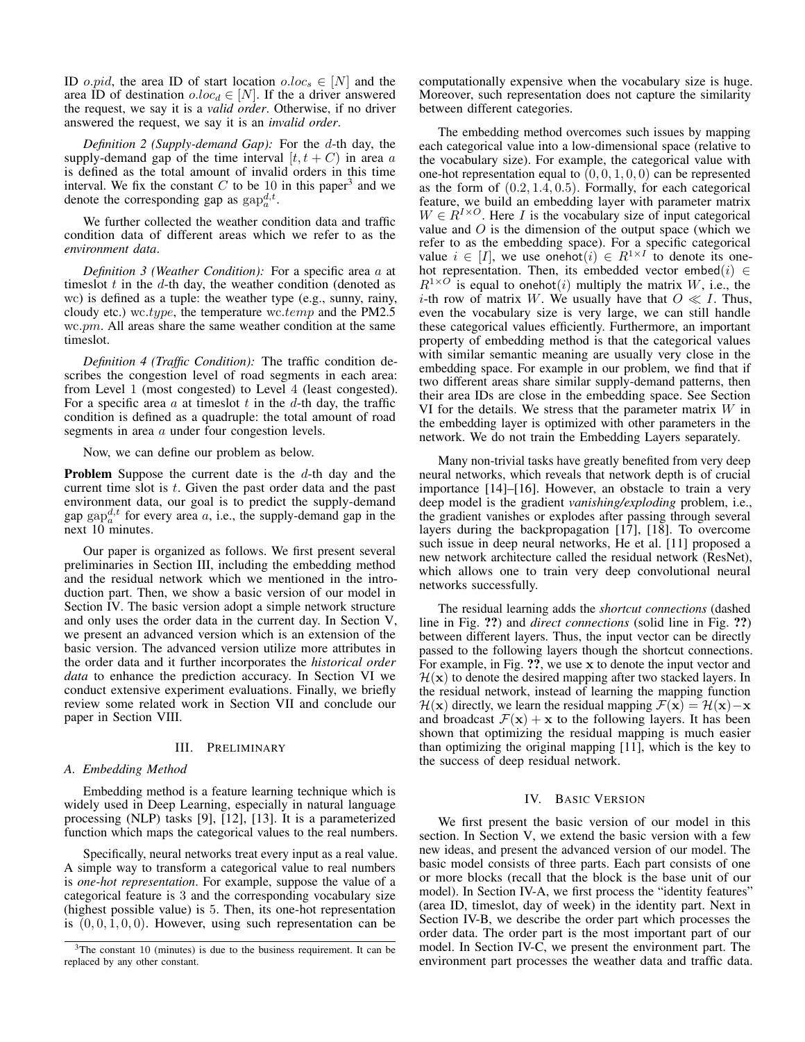ID *o.pid*, the area ID of start location  $o.\text{loc}_s \in [N]$  and the area ID of destination  $o.\text{loc}_d \in [N]$ . If the a driver answered the request, we say it is a *valid order*. Otherwise, if no driver answered the request, we say it is an *invalid order*.

*Definition 2 (Supply-demand Gap):* For the d-th day, the supply-demand gap of the time interval  $[t, t + C)$  in area a is defined as the total amount of invalid orders in this time interval. We fix the constant  $C$  to be 10 in this paper<sup>3</sup> and we denote the corresponding gap as  $\text{gap}_a^{d,t}$ .

We further collected the weather condition data and traffic condition data of different areas which we refer to as the *environment data*.

*Definition 3 (Weather Condition):* For a specific area a at timeslot  $t$  in the  $d$ -th day, the weather condition (denoted as wc) is defined as a tuple: the weather type (e.g., sunny, rainy, cloudy etc.) wc.type, the temperature wc.temp and the PM2.5 wc.pm. All areas share the same weather condition at the same timeslot.

*Definition 4 (Traffic Condition):* The traffic condition describes the congestion level of road segments in each area: from Level 1 (most congested) to Level 4 (least congested). For a specific area  $a$  at timeslot  $t$  in the  $d$ -th day, the traffic condition is defined as a quadruple: the total amount of road segments in area a under four congestion levels.

Now, we can define our problem as below.

**Problem** Suppose the current date is the  $d$ -th day and the current time slot is  $t$ . Given the past order data and the past environment data, our goal is to predict the supply-demand gap  $\text{gap}_{a}^{d,t}$  for every area a, i.e., the supply-demand gap in the next 10 minutes.

Our paper is organized as follows. We first present several preliminaries in Section III, including the embedding method and the residual network which we mentioned in the introduction part. Then, we show a basic version of our model in Section IV. The basic version adopt a simple network structure and only uses the order data in the current day. In Section V, we present an advanced version which is an extension of the basic version. The advanced version utilize more attributes in the order data and it further incorporates the *historical order data* to enhance the prediction accuracy. In Section VI we conduct extensive experiment evaluations. Finally, we briefly review some related work in Section VII and conclude our paper in Section VIII.

# III. PRELIMINARY

#### *A. Embedding Method*

Embedding method is a feature learning technique which is widely used in Deep Learning, especially in natural language processing (NLP) tasks [9], [12], [13]. It is a parameterized function which maps the categorical values to the real numbers.

Specifically, neural networks treat every input as a real value. A simple way to transform a categorical value to real numbers is *one-hot representation*. For example, suppose the value of a categorical feature is 3 and the corresponding vocabulary size (highest possible value) is 5. Then, its one-hot representation is  $(0, 0, 1, 0, 0)$ . However, using such representation can be

computationally expensive when the vocabulary size is huge. Moreover, such representation does not capture the similarity between different categories.

The embedding method overcomes such issues by mapping each categorical value into a low-dimensional space (relative to the vocabulary size). For example, the categorical value with one-hot representation equal to  $(0, 0, 1, 0, 0)$  can be represented as the form of  $(0.2, 1.4, 0.5)$ . Formally, for each categorical feature, we build an embedding layer with parameter matrix  $W \in R^{I \times O}$ . Here I is the vocabulary size of input categorical value and  $O$  is the dimension of the output space (which we refer to as the embedding space). For a specific categorical value  $i \in [I]$ , we use onehot $(i) \in R^{1 \times I}$  to denote its onehot representation. Then, its embedded vector embed $(i) \in$  $R^{1\times O}$  is equal to onehot(i) multiply the matrix W, i.e., the *i*-th row of matrix W. We usually have that  $0 \ll I$ . Thus, even the vocabulary size is very large, we can still handle these categorical values efficiently. Furthermore, an important property of embedding method is that the categorical values with similar semantic meaning are usually very close in the embedding space. For example in our problem, we find that if two different areas share similar supply-demand patterns, then their area IDs are close in the embedding space. See Section VI for the details. We stress that the parameter matrix  $W$  in the embedding layer is optimized with other parameters in the network. We do not train the Embedding Layers separately.

Many non-trivial tasks have greatly benefited from very deep neural networks, which reveals that network depth is of crucial importance [14]–[16]. However, an obstacle to train a very deep model is the gradient *vanishing/exploding* problem, i.e., the gradient vanishes or explodes after passing through several layers during the backpropagation [17], [18]. To overcome such issue in deep neural networks, He et al. [11] proposed a new network architecture called the residual network (ResNet), which allows one to train very deep convolutional neural networks successfully.

The residual learning adds the *shortcut connections* (dashed line in Fig. ??) and *direct connections* (solid line in Fig. ??) between different layers. Thus, the input vector can be directly passed to the following layers though the shortcut connections. For example, in Fig. ??, we use x to denote the input vector and  $H(x)$  to denote the desired mapping after two stacked layers. In the residual network, instead of learning the mapping function  $\mathcal{H}(\mathbf{x})$  directly, we learn the residual mapping  $\mathcal{F}(\mathbf{x}) = \mathcal{H}(\mathbf{x}) - \mathbf{x}$ and broadcast  $\mathcal{F}(\mathbf{x}) + \mathbf{x}$  to the following layers. It has been shown that optimizing the residual mapping is much easier than optimizing the original mapping [11], which is the key to the success of deep residual network.

# IV. BASIC VERSION

We first present the basic version of our model in this section. In Section V, we extend the basic version with a few new ideas, and present the advanced version of our model. The basic model consists of three parts. Each part consists of one or more blocks (recall that the block is the base unit of our model). In Section IV-A, we first process the "identity features" (area ID, timeslot, day of week) in the identity part. Next in Section IV-B, we describe the order part which processes the order data. The order part is the most important part of our model. In Section IV-C, we present the environment part. The environment part processes the weather data and traffic data.

 $3$ The constant 10 (minutes) is due to the business requirement. It can be replaced by any other constant.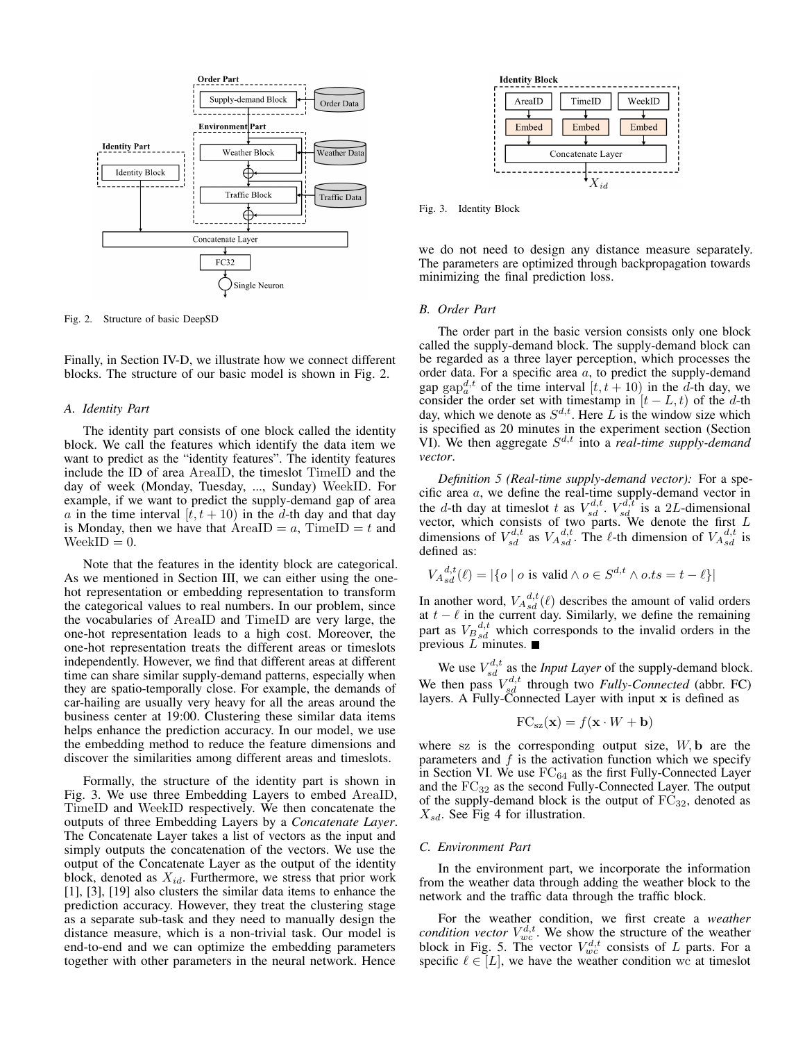

Fig. 2. Structure of basic DeepSD

Finally, in Section IV-D, we illustrate how we connect different blocks. The structure of our basic model is shown in Fig. 2.

#### *A. Identity Part*

The identity part consists of one block called the identity block. We call the features which identify the data item we want to predict as the "identity features". The identity features include the ID of area AreaID, the timeslot TimeID and the day of week (Monday, Tuesday, ..., Sunday) WeekID. For example, if we want to predict the supply-demand gap of area a in the time interval  $[t, t + 10)$  in the d-th day and that day is Monday, then we have that  $AreaID = a$ ,  $TimeID = t$  and  $\text{WeakID} = 0.$ 

Note that the features in the identity block are categorical. As we mentioned in Section III, we can either using the onehot representation or embedding representation to transform the categorical values to real numbers. In our problem, since the vocabularies of AreaID and TimeID are very large, the one-hot representation leads to a high cost. Moreover, the one-hot representation treats the different areas or timeslots independently. However, we find that different areas at different time can share similar supply-demand patterns, especially when they are spatio-temporally close. For example, the demands of car-hailing are usually very heavy for all the areas around the business center at 19:00. Clustering these similar data items helps enhance the prediction accuracy. In our model, we use the embedding method to reduce the feature dimensions and discover the similarities among different areas and timeslots.

Formally, the structure of the identity part is shown in Fig. 3. We use three Embedding Layers to embed AreaID, TimeID and WeekID respectively. We then concatenate the outputs of three Embedding Layers by a *Concatenate Layer*. The Concatenate Layer takes a list of vectors as the input and simply outputs the concatenation of the vectors. We use the output of the Concatenate Layer as the output of the identity block, denoted as  $X_{id}$ . Furthermore, we stress that prior work [1], [3], [19] also clusters the similar data items to enhance the prediction accuracy. However, they treat the clustering stage as a separate sub-task and they need to manually design the distance measure, which is a non-trivial task. Our model is end-to-end and we can optimize the embedding parameters together with other parameters in the neural network. Hence



Fig. 3. Identity Block

we do not need to design any distance measure separately. The parameters are optimized through backpropagation towards minimizing the final prediction loss.

## *B. Order Part*

The order part in the basic version consists only one block called the supply-demand block. The supply-demand block can be regarded as a three layer perception, which processes the order data. For a specific area a, to predict the supply-demand gap  $\text{gap}_{a}^{d,t}$  of the time interval  $[t, t+10]$  in the d-th day, we consider the order set with timestamp in  $[t - L, t)$  of the d-th day, which we denote as  $S^{d,t}$ . Here  $\overline{L}$  is the window size which is specified as 20 minutes in the experiment section (Section VI). We then aggregate  $S^{d,t}$  into a *real-time supply-demand vector*.

*Definition 5 (Real-time supply-demand vector):* For a specific area  $a$ , we define the real-time supply-demand vector in the d-th day at timeslot t as  $V_{sd}^{d,t}$ .  $V_{sd}^{d,t}$  is a 2L-dimensional vector, which consists of two parts. We denote the first  $L$ dimensions of  $V_{sd}^{d,t}$  as  $V_{Asd}^{d,t}$ . The  $\ell$ -th dimension of  $V_{Asd}^{d,t}$  is defined as:

$$
V_{A\,sd}^{d,t}(\ell) = |\{o \mid o \text{ is valid} \land o \in S^{d,t} \land o.ts = t - \ell\}|
$$

In another word,  $V_{A_{sd}}^{d,t}(\ell)$  describes the amount of valid orders at  $t - \ell$  in the current day. Similarly, we define the remaining part as  $V_{B_{sd}}^{d,t}$  which corresponds to the invalid orders in the previous  $L$  minutes.

We use  $V_{sd}^{d,t}$  as the *Input Layer* of the supply-demand block. We then pass  $V_{sd}^{d,t}$  through two *Fully-Connected* (abbr. FC) layers. A Fully-Connected Layer with input  $x$  is defined as

$$
FC_{sz}(\mathbf{x}) = f(\mathbf{x} \cdot W + \mathbf{b})
$$

where sz is the corresponding output size,  $W$ ,  $\mathbf{b}$  are the parameters and  $f$  is the activation function which we specify in Section VI. We use  $FC_{64}$  as the first Fully-Connected Layer and the  $FC_{32}$  as the second Fully-Connected Layer. The output of the supply-demand block is the output of  $FC_{32}$ , denoted as  $X_{sd}$ . See Fig 4 for illustration.

#### *C. Environment Part*

In the environment part, we incorporate the information from the weather data through adding the weather block to the network and the traffic data through the traffic block.

For the weather condition, we first create a *weather condition vector*  $V_{wc}^{d,t}$ . We show the structure of the weather block in Fig. 5. The vector  $V_{wc}^{d,t}$  consists of L parts. For a specific  $\ell \in [L]$ , we have the weather condition wc at timeslot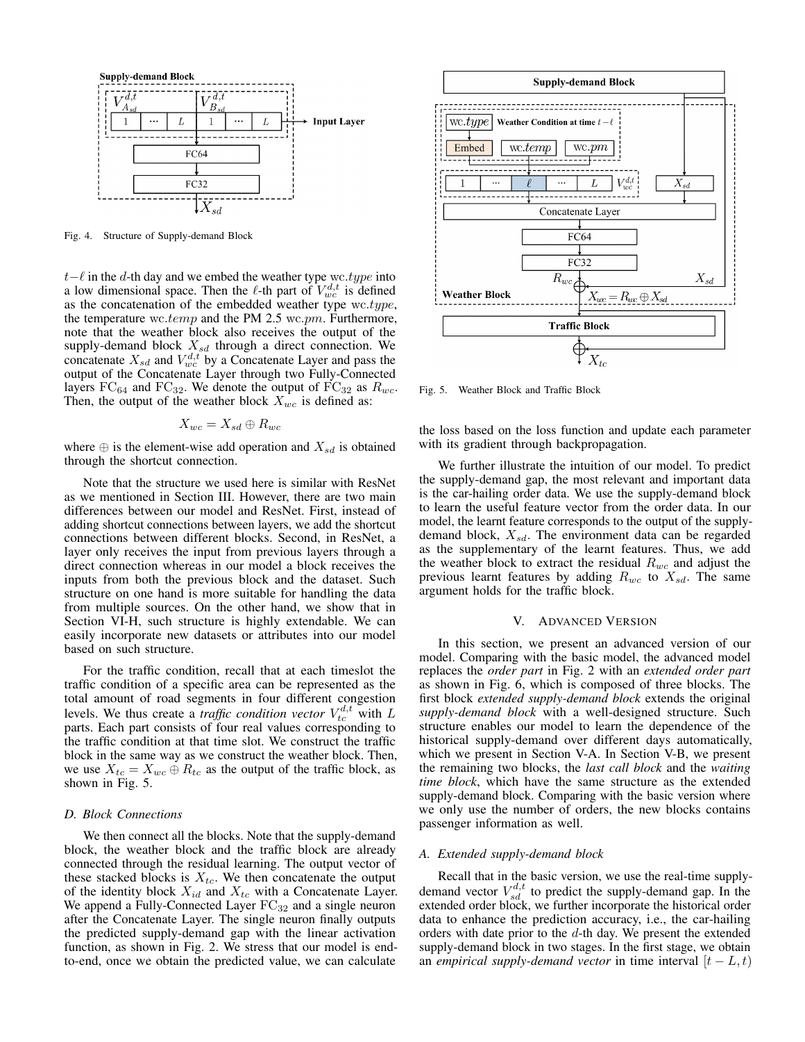

Fig. 4. Structure of Supply-demand Block

 $t-\ell$  in the d-th day and we embed the weather type wc.type into a low dimensional space. Then the  $\ell$ -th part of  $V_{wc}^{d,t}$  is defined as the concatenation of the embedded weather type wc.type, the temperature wc.temp and the PM 2.5 wc.pm. Furthermore, note that the weather block also receives the output of the supply-demand block  $X_{sd}$  through a direct connection. We concatenate  $X_{sd}$  and  $V_{wc}^{d,t}$  by a Concatenate Layer and pass the output of the Concatenate Layer through two Fully-Connected layers  $FC_{64}$  and  $FC_{32}$ . We denote the output of  $FC_{32}$  as  $R_{wc}$ . Then, the output of the weather block  $X_{wc}$  is defined as:

$$
X_{wc} = X_{sd} \oplus R_{wc}
$$

where  $\oplus$  is the element-wise add operation and  $X_{sd}$  is obtained through the shortcut connection.

Note that the structure we used here is similar with ResNet as we mentioned in Section III. However, there are two main differences between our model and ResNet. First, instead of adding shortcut connections between layers, we add the shortcut connections between different blocks. Second, in ResNet, a layer only receives the input from previous layers through a direct connection whereas in our model a block receives the inputs from both the previous block and the dataset. Such structure on one hand is more suitable for handling the data from multiple sources. On the other hand, we show that in Section VI-H, such structure is highly extendable. We can easily incorporate new datasets or attributes into our model based on such structure.

For the traffic condition, recall that at each timeslot the traffic condition of a specific area can be represented as the total amount of road segments in four different congestion levels. We thus create a *traffic condition vector*  $V_{tc}^{d,t}$  with L parts. Each part consists of four real values corresponding to the traffic condition at that time slot. We construct the traffic block in the same way as we construct the weather block. Then, we use  $X_{tc} = X_{wc} \oplus R_{tc}$  as the output of the traffic block, as shown in Fig. 5.

#### *D. Block Connections*

We then connect all the blocks. Note that the supply-demand block, the weather block and the traffic block are already connected through the residual learning. The output vector of these stacked blocks is  $X_{tc}$ . We then concatenate the output of the identity block  $X_{id}$  and  $X_{tc}$  with a Concatenate Layer. We append a Fully-Connected Layer  $FC_{32}$  and a single neuron after the Concatenate Layer. The single neuron finally outputs the predicted supply-demand gap with the linear activation function, as shown in Fig. 2. We stress that our model is endto-end, once we obtain the predicted value, we can calculate



Fig. 5. Weather Block and Traffic Block

the loss based on the loss function and update each parameter with its gradient through backpropagation.

We further illustrate the intuition of our model. To predict the supply-demand gap, the most relevant and important data is the car-hailing order data. We use the supply-demand block to learn the useful feature vector from the order data. In our model, the learnt feature corresponds to the output of the supplydemand block,  $X_{sd}$ . The environment data can be regarded as the supplementary of the learnt features. Thus, we add the weather block to extract the residual  $R_{wc}$  and adjust the previous learnt features by adding  $R_{wc}$  to  $X_{sd}$ . The same argument holds for the traffic block.

## V. ADVANCED VERSION

In this section, we present an advanced version of our model. Comparing with the basic model, the advanced model replaces the *order part* in Fig. 2 with an *extended order part* as shown in Fig. 6, which is composed of three blocks. The first block *extended supply-demand block* extends the original *supply-demand block* with a well-designed structure. Such structure enables our model to learn the dependence of the historical supply-demand over different days automatically, which we present in Section V-A. In Section V-B, we present the remaining two blocks, the *last call block* and the *waiting time block*, which have the same structure as the extended supply-demand block. Comparing with the basic version where we only use the number of orders, the new blocks contains passenger information as well.

# *A. Extended supply-demand block*

Recall that in the basic version, we use the real-time supplydemand vector  $V_{sd}^{d,t}$  to predict the supply-demand gap. In the extended order block, we further incorporate the historical order data to enhance the prediction accuracy, i.e., the car-hailing orders with date prior to the  $d$ -th day. We present the extended supply-demand block in two stages. In the first stage, we obtain an *empirical supply-demand vector* in time interval  $[t - L, t)$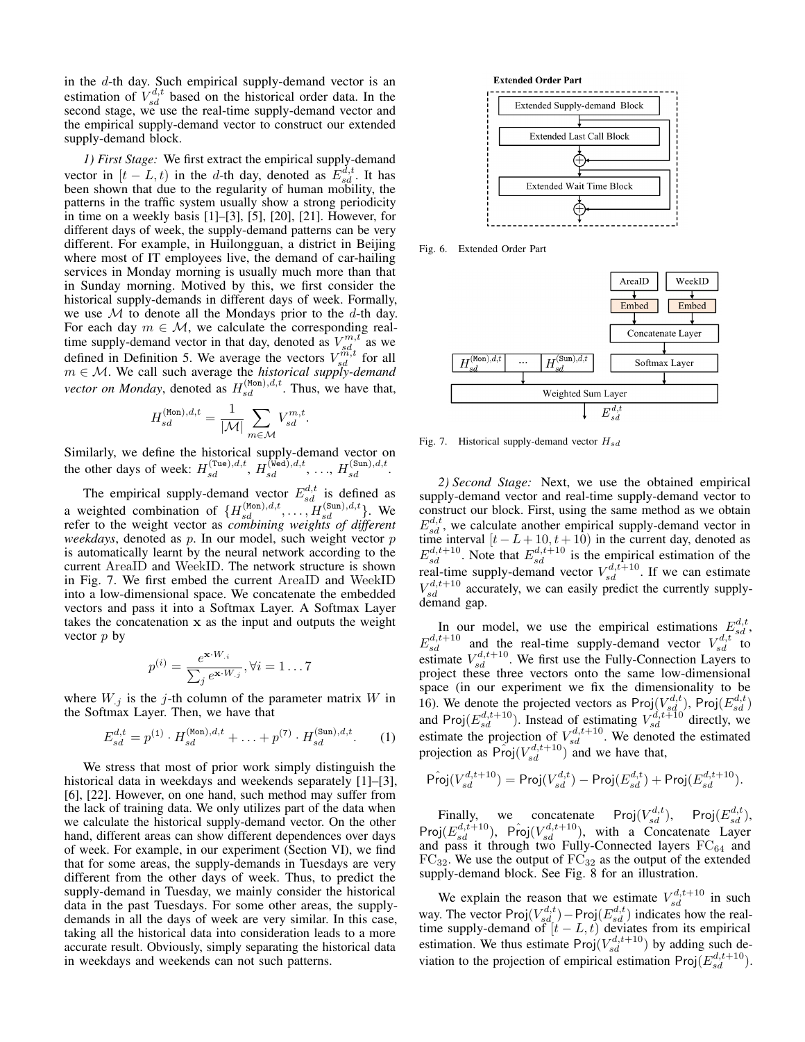in the  $d$ -th day. Such empirical supply-demand vector is an estimation of  $V_{sd}^{d,t}$  based on the historical order data. In the second stage, we use the real-time supply-demand vector and the empirical supply-demand vector to construct our extended supply-demand block.

*1) First Stage:* We first extract the empirical supply-demand vector in  $[t - L, t)$  in the d-th day, denoted as  $E_{sd}^{d,t}$ . It has been shown that due to the regularity of human mobility, the patterns in the traffic system usually show a strong periodicity in time on a weekly basis [1]–[3], [5], [20], [21]. However, for different days of week, the supply-demand patterns can be very different. For example, in Huilongguan, a district in Beijing where most of IT employees live, the demand of car-hailing services in Monday morning is usually much more than that in Sunday morning. Motived by this, we first consider the historical supply-demands in different days of week. Formally, we use  $M$  to denote all the Mondays prior to the  $d$ -th day. For each day  $m \in \mathcal{M}$ , we calculate the corresponding realtime supply-demand vector in that day, denoted as  $V_{sd}^{m,t}$  as we defined in Definition 5. We average the vectors  $V_{sd}^{\hat{m},t}$  for all m ∈ M. We call such average the *historical supply-demand vector on Monday*, denoted as  $H_{sd}^{(\text{Mon}),d,t}$ . Thus, we have that,

$$
H_{sd}^{(\text{Mon}),d,t} = \frac{1}{|\mathcal{M}|} \sum_{m \in \mathcal{M}} V_{sd}^{m,t}.
$$

Similarly, we define the historical supply-demand vector on the other days of week:  $H_{sd}^{(\text{True}),d,t}$ ,  $H_{sd}^{(\text{Nea}),d,t}$ , ...,  $H_{sd}^{(\text{Sun}),d,t}$ .

The empirical supply-demand vector  $E_{sd}^{d,t}$  is defined as a weighted combination of  $\{H_{sd}^{(\text{Mon}),d,t}, \ldots, H_{sd}^{(\text{Sun}),d,t}\}$ . We refer to the weight vector as *combining weights of different weekdays*, denoted as p. In our model, such weight vector p is automatically learnt by the neural network according to the current AreaID and WeekID. The network structure is shown in Fig. 7. We first embed the current AreaID and WeekID into a low-dimensional space. We concatenate the embedded vectors and pass it into a Softmax Layer. A Softmax Layer takes the concatenation  $x$  as the input and outputs the weight vector  $p$  by

$$
p^{(i)} = \frac{e^{\mathbf{x} \cdot W_{.i}}}{\sum_{j} e^{\mathbf{x} \cdot W_{.j}}}, \forall i = 1 \dots 7
$$

where  $W_{i,j}$  is the j-th column of the parameter matrix  $W$  in the Softmax Layer. Then, we have that

$$
E_{sd}^{d,t} = p^{(1)} \cdot H_{sd}^{(\text{Mon}),d,t} + \ldots + p^{(7)} \cdot H_{sd}^{(\text{Sun}),d,t}.
$$
 (1)

We stress that most of prior work simply distinguish the historical data in weekdays and weekends separately [1]–[3], [6], [22]. However, on one hand, such method may suffer from the lack of training data. We only utilizes part of the data when we calculate the historical supply-demand vector. On the other hand, different areas can show different dependences over days of week. For example, in our experiment (Section VI), we find that for some areas, the supply-demands in Tuesdays are very different from the other days of week. Thus, to predict the supply-demand in Tuesday, we mainly consider the historical data in the past Tuesdays. For some other areas, the supplydemands in all the days of week are very similar. In this case, taking all the historical data into consideration leads to a more accurate result. Obviously, simply separating the historical data in weekdays and weekends can not such patterns.



Fig. 6. Extended Order Part



Fig. 7. Historical supply-demand vector  $H_{sd}$ 

*2) Second Stage:* Next, we use the obtained empirical supply-demand vector and real-time supply-demand vector to construct our block. First, using the same method as we obtain  $E_{sd}^{d,t}$ , we calculate another empirical supply-demand vector in time interval  $[t - L + 10, t + 10)$  in the current day, denoted as  $E_{sd}^{d,t+10}$ . Note that  $E_{sd}^{d,t+10}$  is the empirical estimation of the real-time supply-demand vector  $V_{sd}^{d,t+10}$ . If we can estimate  $V_{sd}^{d,t+10}$  accurately, we can easily predict the currently supplydemand gap.

In our model, we use the empirical estimations  $E_{sd}^{d,t}$ ,  $E_{sd}^{d,t+10}$  and the real-time supply-demand vector  $V_{sd}^{d,t}$  to estimate  $V_{sd}^{d,t+10}$ . We first use the Fully-Connection Layers to project these three vectors onto the same low-dimensional space (in our experiment we fix the dimensionality to be 16). We denote the projected vectors as Proj $(V_{sd}^{d,t})$ , Proj $(E_{sd}^{d,t})$ and Proj $(E_{sd}^{d,t+10})$ . Instead of estimating  $V_{sd}^{d,t+10}$  directly, we estimate the projection of  $V_{sd}^{d,t+10}$ . We denoted the estimated projection as  $\hat{\text{Proj}}(V_{sd}^{d,t+10})$  and we have that,

$$
\hat{\operatorname{Proj}}(V_{sd}^{d,t+10}) = \operatorname{Proj}(V_{sd}^{d,t}) - \operatorname{Proj}(E_{sd}^{d,t}) + \operatorname{Proj}(E_{sd}^{d,t+10}).
$$

Finally, we concatenate  $\text{Proj}(V_{sd}^{d,t}), \text{Proj}(E_{sd}^{d,t}),$ Proj $(E_{sd}^{d,t+10})$ , Proj $(V_{sd}^{d,t+10})$ , with a Concatenate Layer and pass it through two Fully-Connected layers  $FC_{64}$  and  $FC_{32}$ . We use the output of  $FC_{32}$  as the output of the extended supply-demand block. See Fig. 8 for an illustration.

We explain the reason that we estimate  $V_{sd}^{d,t+10}$  in such way. The vector  $\text{Proj}(V_{sd}^{d,t}) - \text{Proj}(E_{sd}^{d,t})$  indicates how the realtime supply-demand of  $[t - L, t)$  deviates from its empirical estimation. We thus estimate  $Proj(V_{sd}^{d,t+10})$  by adding such deviation to the projection of empirical estimation  $\text{Proj}(E_{sd}^{d,t+10})$ .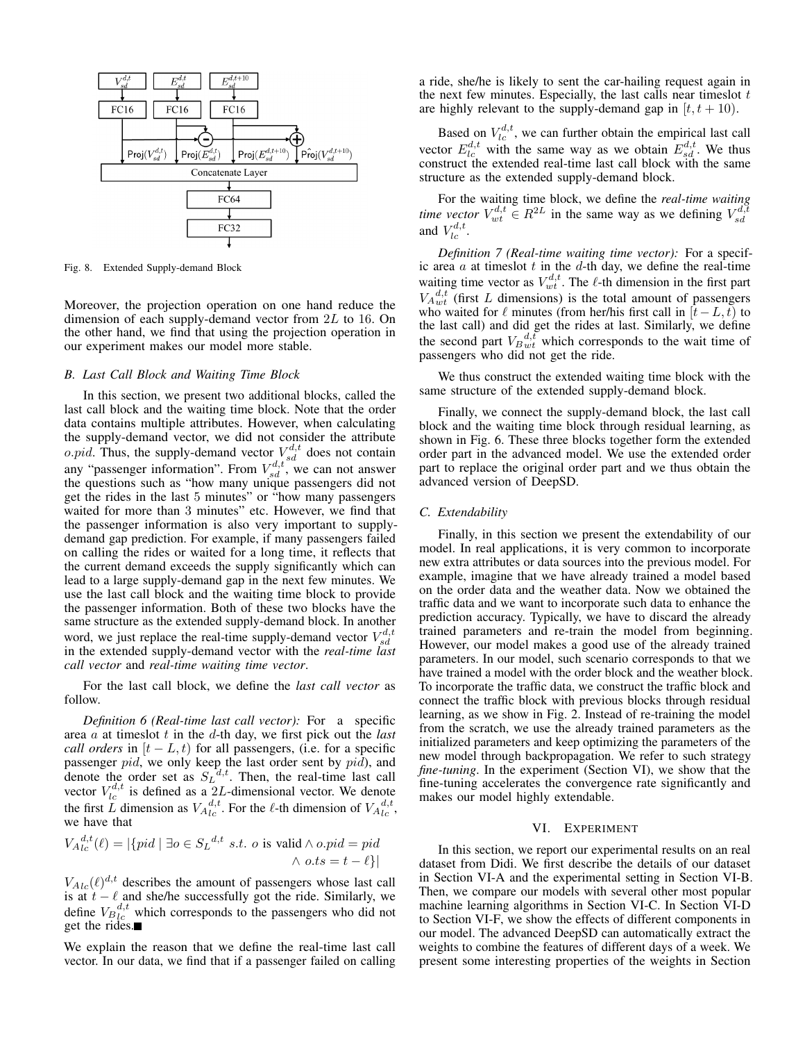

Fig. 8. Extended Supply-demand Block

Moreover, the projection operation on one hand reduce the dimension of each supply-demand vector from 2L to 16. On the other hand, we find that using the projection operation in our experiment makes our model more stable.

## *B. Last Call Block and Waiting Time Block*

In this section, we present two additional blocks, called the last call block and the waiting time block. Note that the order data contains multiple attributes. However, when calculating the supply-demand vector, we did not consider the attribute *o.pid.* Thus, the supply-demand vector  $V_{sd}^{d,t}$  does not contain any "passenger information". From  $V_{sd}^{d,t}$  we can not answer the questions such as "how many unique passengers did not get the rides in the last 5 minutes" or "how many passengers waited for more than 3 minutes" etc. However, we find that the passenger information is also very important to supplydemand gap prediction. For example, if many passengers failed on calling the rides or waited for a long time, it reflects that the current demand exceeds the supply significantly which can lead to a large supply-demand gap in the next few minutes. We use the last call block and the waiting time block to provide the passenger information. Both of these two blocks have the same structure as the extended supply-demand block. In another word, we just replace the real-time supply-demand vector  $V_{sd}^{d,t}$ in the extended supply-demand vector with the *real-time last call vector* and *real-time waiting time vector*.

For the last call block, we define the *last call vector* as follow.

*Definition 6 (Real-time last call vector):* For a specific area a at timeslot t in the d-th day, we first pick out the *last call orders* in  $[t - L, t)$  for all passengers, (i.e. for a specific passenger  $pid$ , we only keep the last order sent by  $pid$ ), and denote the order set as  $S_L^{\hat{d},t}$ . Then, the real-time last call vector  $V_{lc}^{d,t}$  is defined as a 2L-dimensional vector. We denote the first  $\tilde{L}$  dimension as  $V_{A_{lc}}^{d,t}$ . For the  $\ell$ -th dimension of  $V_{A_{lc}}^{d,t}$ , we have that

$$
V_{A_{lc}}^{d,t}(\ell) = |\{pid \mid \exists o \in S_L^{d,t} \ s.t. \ o \text{ is valid} \land o.pid = pid \land o.ts = t - \ell\}|
$$

 $V_{Alc}(\ell)$ <sup>d,t</sup> describes the amount of passengers whose last call is at  $t - \ell$  and she/he successfully got the ride. Similarly, we define  $V_{B_{lc}}^{d,t}$  which corresponds to the passengers who did not get the rides.

We explain the reason that we define the real-time last call vector. In our data, we find that if a passenger failed on calling a ride, she/he is likely to sent the car-hailing request again in the next few minutes. Especially, the last calls near times ot  $t$ are highly relevant to the supply-demand gap in  $[t, t + 10)$ .

Based on  $V_{lc}^{d,t}$ , we can further obtain the empirical last call vector  $E_{lc}^{d,t}$  with the same way as we obtain  $E_{sd}^{d,t}$ . We thus construct the extended real-time last call block with the same structure as the extended supply-demand block.

For the waiting time block, we define the *real-time waiting time vector*  $V_{wt}^{d,t} \in R^{2L}$  in the same way as we defining  $V_{sd}^{d,t}$  and  $V_{lc}^{d,t}$ .

*Definition 7 (Real-time waiting time vector):* For a specific area  $a$  at timeslot  $t$  in the  $d$ -th day, we define the real-time waiting time vector as  $V_{wt}^{d,t}$ . The  $\ell$ -th dimension in the first part  $V_{A\,wt}^{d,t}$  (first L dimensions) is the total amount of passengers who waited for  $\ell$  minutes (from her/his first call in  $[\hat{t} - L, \hat{t}]$  to the last call) and did get the rides at last. Similarly, we define the second part  $V_{B_{wt}}^{d,\tilde{t}}$  which corresponds to the wait time of passengers who did not get the ride.

We thus construct the extended waiting time block with the same structure of the extended supply-demand block.

Finally, we connect the supply-demand block, the last call block and the waiting time block through residual learning, as shown in Fig. 6. These three blocks together form the extended order part in the advanced model. We use the extended order part to replace the original order part and we thus obtain the advanced version of DeepSD.

#### *C. Extendability*

Finally, in this section we present the extendability of our model. In real applications, it is very common to incorporate new extra attributes or data sources into the previous model. For example, imagine that we have already trained a model based on the order data and the weather data. Now we obtained the traffic data and we want to incorporate such data to enhance the prediction accuracy. Typically, we have to discard the already trained parameters and re-train the model from beginning. However, our model makes a good use of the already trained parameters. In our model, such scenario corresponds to that we have trained a model with the order block and the weather block. To incorporate the traffic data, we construct the traffic block and connect the traffic block with previous blocks through residual learning, as we show in Fig. 2. Instead of re-training the model from the scratch, we use the already trained parameters as the initialized parameters and keep optimizing the parameters of the new model through backpropagation. We refer to such strategy *fine-tuning*. In the experiment (Section VI), we show that the fine-tuning accelerates the convergence rate significantly and makes our model highly extendable.

#### VI. EXPERIMENT

In this section, we report our experimental results on an real dataset from Didi. We first describe the details of our dataset in Section VI-A and the experimental setting in Section VI-B. Then, we compare our models with several other most popular machine learning algorithms in Section VI-C. In Section VI-D to Section VI-F, we show the effects of different components in our model. The advanced DeepSD can automatically extract the weights to combine the features of different days of a week. We present some interesting properties of the weights in Section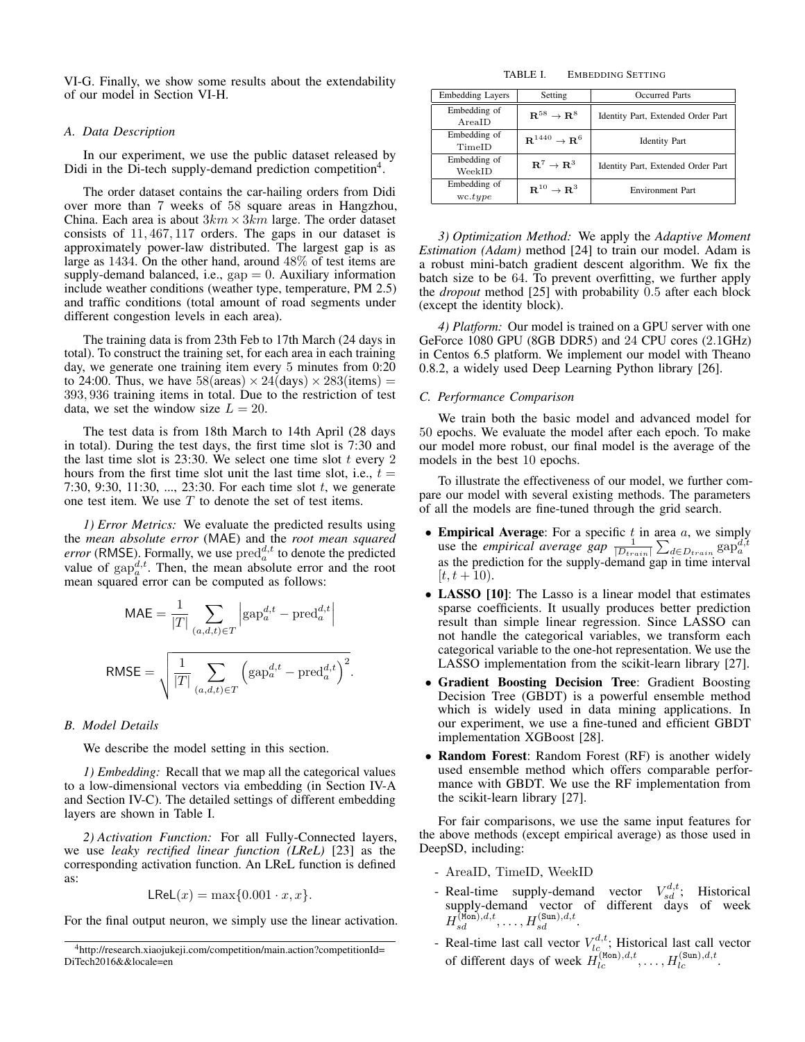VI-G. Finally, we show some results about the extendability of our model in Section VI-H.

#### *A. Data Description*

In our experiment, we use the public dataset released by Didi in the Di-tech supply-demand prediction competition<sup>4</sup>.

The order dataset contains the car-hailing orders from Didi over more than 7 weeks of 58 square areas in Hangzhou, China. Each area is about  $3km \times 3km$  large. The order dataset consists of 11, 467, 117 orders. The gaps in our dataset is approximately power-law distributed. The largest gap is as large as 1434. On the other hand, around 48% of test items are supply-demand balanced, i.e.,  $\text{gap} = 0$ . Auxiliary information include weather conditions (weather type, temperature, PM 2.5) and traffic conditions (total amount of road segments under different congestion levels in each area).

The training data is from 23th Feb to 17th March (24 days in total). To construct the training set, for each area in each training day, we generate one training item every 5 minutes from 0:20 to 24:00. Thus, we have  $58(\text{areas}) \times 24(\text{days}) \times 283(\text{items}) =$ 393, 936 training items in total. Due to the restriction of test data, we set the window size  $L = 20$ .

The test data is from 18th March to 14th April (28 days in total). During the test days, the first time slot is 7:30 and the last time slot is  $23:30$ . We select one time slot t every 2 hours from the first time slot unit the last time slot, i.e.,  $t =$ 7:30, 9:30, 11:30, ..., 23:30. For each time slot  $t$ , we generate one test item. We use  $T$  to denote the set of test items.

*1) Error Metrics:* We evaluate the predicted results using the *mean absolute error* (MAE) and the *root mean squared error* (RMSE). Formally, we use  $pred_a^{d,t}$  to denote the predicted error (KWSE). Follidary, we use  $\text{preu}_a$  to denote the predicted value of  $\text{gap}_a^{d,t}$ . Then, the mean absolute error and the root mean squared error can be computed as follows:

$$
\text{MAE} = \frac{1}{|T|} \sum_{(a,d,t) \in T} \left| \text{gap}_a^{d,t} - \text{pred}_a^{d,t} \right|
$$

$$
\text{RMSE} = \sqrt{\frac{1}{|T|} \sum_{(a,d,t) \in T} \left( \text{gap}_a^{d,t} - \text{pred}_a^{d,t} \right)^2}.
$$

# *B. Model Details*

We describe the model setting in this section.

*1) Embedding:* Recall that we map all the categorical values to a low-dimensional vectors via embedding (in Section IV-A and Section IV-C). The detailed settings of different embedding layers are shown in Table I.

*2) Activation Function:* For all Fully-Connected layers, we use *leaky rectified linear function (LReL)* [23] as the corresponding activation function. An LReL function is defined as:

$$
\mathsf{LReLU}(x) = \max\{0.001 \cdot x, x\}.
$$

For the final output neuron, we simply use the linear activation.

TABLE I. EMBEDDING SETTING

| <b>Embedding Layers</b> | Setting                                      | Occurred Parts                     |  |  |
|-------------------------|----------------------------------------------|------------------------------------|--|--|
| Embedding of<br>AreaID  | $R^{58} \rightarrow R^8$                     | Identity Part, Extended Order Part |  |  |
| Embedding of<br>TimeID  | $\mathbf{R}^{1440} \rightarrow \mathbf{R}^6$ | <b>Identity Part</b>               |  |  |
| Embedding of<br>WeekID  | ${\bf R}^7 \rightarrow {\bf R}^3$            | Identity Part, Extended Order Part |  |  |
| Embedding of<br>wc.type | ${\bf R}^{10} \rightarrow {\bf R}^3$         | <b>Environment Part</b>            |  |  |

*3) Optimization Method:* We apply the *Adaptive Moment Estimation (Adam)* method [24] to train our model. Adam is a robust mini-batch gradient descent algorithm. We fix the batch size to be 64. To prevent overfitting, we further apply the *dropout* method [25] with probability 0.5 after each block (except the identity block).

*4) Platform:* Our model is trained on a GPU server with one GeForce 1080 GPU (8GB DDR5) and 24 CPU cores (2.1GHz) in Centos 6.5 platform. We implement our model with Theano 0.8.2, a widely used Deep Learning Python library [26].

## *C. Performance Comparison*

We train both the basic model and advanced model for 50 epochs. We evaluate the model after each epoch. To make our model more robust, our final model is the average of the models in the best 10 epochs.

To illustrate the effectiveness of our model, we further compare our model with several existing methods. The parameters of all the models are fine-tuned through the grid search.

- Empirical Average: For a specific  $t$  in area  $a$ , we simply use the *empirical average gap*  $\frac{1}{|D_{train}|} \sum_{d \in D_{train}} \text{gap}_{a}^{d,t}$ <br>as the prediction for the supply-demand gap in time interval  $[t, t + 10).$
- LASSO [10]: The Lasso is a linear model that estimates sparse coefficients. It usually produces better prediction result than simple linear regression. Since LASSO can not handle the categorical variables, we transform each categorical variable to the one-hot representation. We use the LASSO implementation from the scikit-learn library [27].
- Gradient Boosting Decision Tree: Gradient Boosting Decision Tree (GBDT) is a powerful ensemble method which is widely used in data mining applications. In our experiment, we use a fine-tuned and efficient GBDT implementation XGBoost [28].
- Random Forest: Random Forest (RF) is another widely used ensemble method which offers comparable performance with GBDT. We use the RF implementation from the scikit-learn library [27].

For fair comparisons, we use the same input features for the above methods (except empirical average) as those used in DeepSD, including:

- AreaID, TimeID, WeekID
- Real-time supply-demand vector  $V_{sd}^{d,t}$ ; Historical supply-demand vector of different days of week  $H^{\overline{(\textsf{Mon})},d,t}_{sd},\ldots,H^{\texttt{(Sun)},d,t}_{sd}.$
- Real-time last call vector  $V_{lc}^{d,t}$ ; Historical last call vector of different days of week  $H_{lc}^{(\text{Mon}),d,t}, \ldots, H_{lc}^{(\text{Sun}),d,t}$ .

<sup>4</sup>http://research.xiaojukeji.com/competition/main.action?competitionId= DiTech2016&&locale=en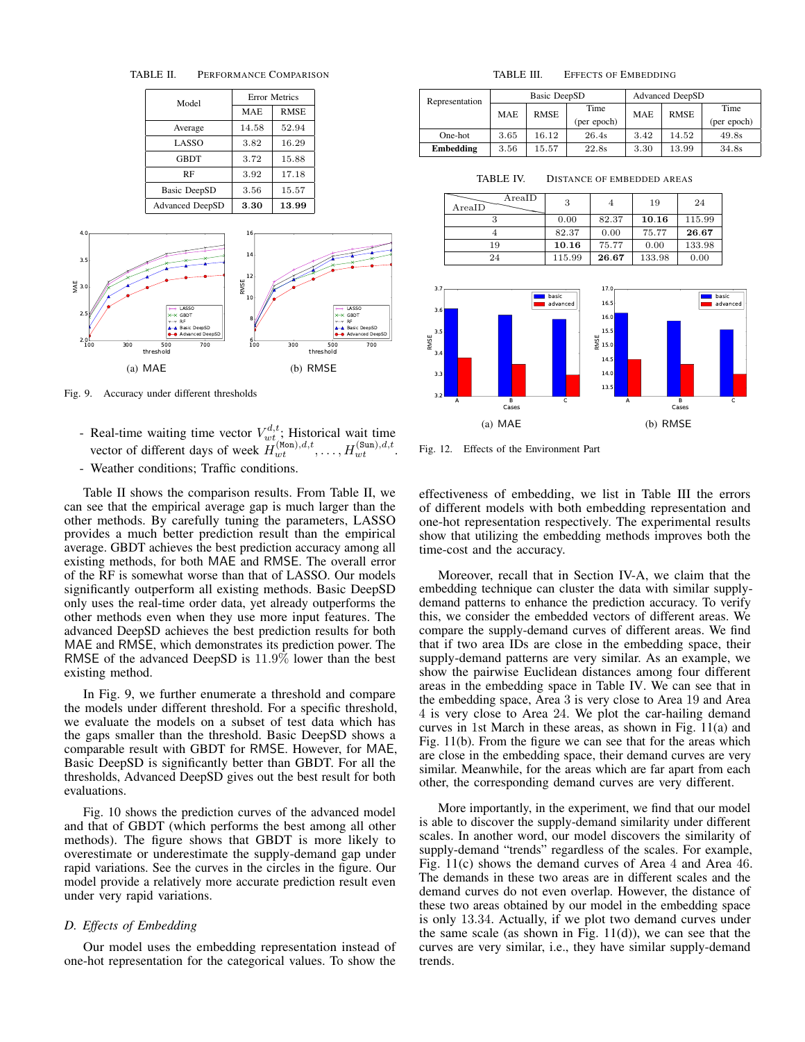TABLE II. PERFORMANCE COMPARISON

| Model                  | <b>Error Metrics</b> |             |  |
|------------------------|----------------------|-------------|--|
|                        | <b>MAE</b>           | <b>RMSE</b> |  |
| Average                | 14.58                | 52.94       |  |
| LASSO                  | 3.82                 | 16.29       |  |
| <b>GBDT</b>            | 3.72                 | 15.88       |  |
| RF                     | 3.92                 | 17.18       |  |
| Basic DeepSD           | 3.56                 | 15.57       |  |
| <b>Advanced DeepSD</b> | 3.30                 | 13.99       |  |



Fig. 9. Accuracy under different thresholds

- Real-time waiting time vector  $V_{wt}^{d,t}$ ; Historical wait time vector of different days of week  $\tilde{H}_{wt}^{(\text{Mon}),d,t}, \ldots, H_{wt}^{(\text{Sun}),d,t}$ .
- Weather conditions; Traffic conditions.

Table II shows the comparison results. From Table II, we can see that the empirical average gap is much larger than the other methods. By carefully tuning the parameters, LASSO provides a much better prediction result than the empirical average. GBDT achieves the best prediction accuracy among all existing methods, for both MAE and RMSE. The overall error of the RF is somewhat worse than that of LASSO. Our models significantly outperform all existing methods. Basic DeepSD only uses the real-time order data, yet already outperforms the other methods even when they use more input features. The advanced DeepSD achieves the best prediction results for both MAE and RMSE, which demonstrates its prediction power. The RMSE of the advanced DeepSD is 11.9% lower than the best existing method.

In Fig. 9, we further enumerate a threshold and compare the models under different threshold. For a specific threshold, we evaluate the models on a subset of test data which has the gaps smaller than the threshold. Basic DeepSD shows a comparable result with GBDT for RMSE. However, for MAE, Basic DeepSD is significantly better than GBDT. For all the thresholds, Advanced DeepSD gives out the best result for both evaluations.

Fig. 10 shows the prediction curves of the advanced model and that of GBDT (which performs the best among all other methods). The figure shows that GBDT is more likely to overestimate or underestimate the supply-demand gap under rapid variations. See the curves in the circles in the figure. Our model provide a relatively more accurate prediction result even under very rapid variations.

# *D. Effects of Embedding*

Our model uses the embedding representation instead of one-hot representation for the categorical values. To show the

TABLE III. EFFECTS OF EMBEDDING

| Representation   | Basic DeepSD |             |                     | Advanced DeepSD |             |                     |
|------------------|--------------|-------------|---------------------|-----------------|-------------|---------------------|
|                  | <b>MAE</b>   | <b>RMSE</b> | Time<br>(per epoch) | <b>MAE</b>      | <b>RMSE</b> | Time<br>(per epoch) |
| One-hot          | 3.65         | 16.12       | 26.4s               | 3.42            | 14.52       | 49.8s               |
| <b>Embedding</b> | 3.56         | 15.57       | 22.8s               | 3.30            | 13.99       | 34.8s               |

TABLE IV. DISTANCE OF EMBEDDED AREAS

| AreaID<br>AreaID | 3      | 4     | 19     | 24     |
|------------------|--------|-------|--------|--------|
|                  | 0.00   | 82.37 | 10.16  | 115.99 |
|                  | 82.37  | 0.00  | 75.77  | 26.67  |
| 19               | 10.16  | 75.77 | 0.00   | 133.98 |
| 24               | 115.99 | 26.67 | 133.98 | 0.00   |



Fig. 12. Effects of the Environment Part

effectiveness of embedding, we list in Table III the errors of different models with both embedding representation and one-hot representation respectively. The experimental results show that utilizing the embedding methods improves both the time-cost and the accuracy.

Moreover, recall that in Section IV-A, we claim that the embedding technique can cluster the data with similar supplydemand patterns to enhance the prediction accuracy. To verify this, we consider the embedded vectors of different areas. We compare the supply-demand curves of different areas. We find that if two area IDs are close in the embedding space, their supply-demand patterns are very similar. As an example, we show the pairwise Euclidean distances among four different areas in the embedding space in Table IV. We can see that in the embedding space, Area 3 is very close to Area 19 and Area 4 is very close to Area 24. We plot the car-hailing demand curves in 1st March in these areas, as shown in Fig. 11(a) and Fig. 11(b). From the figure we can see that for the areas which are close in the embedding space, their demand curves are very similar. Meanwhile, for the areas which are far apart from each other, the corresponding demand curves are very different.

More importantly, in the experiment, we find that our model is able to discover the supply-demand similarity under different scales. In another word, our model discovers the similarity of supply-demand "trends" regardless of the scales. For example, Fig. 11(c) shows the demand curves of Area 4 and Area 46. The demands in these two areas are in different scales and the demand curves do not even overlap. However, the distance of these two areas obtained by our model in the embedding space is only 13.34. Actually, if we plot two demand curves under the same scale (as shown in Fig.  $11(d)$ ), we can see that the curves are very similar, i.e., they have similar supply-demand trends.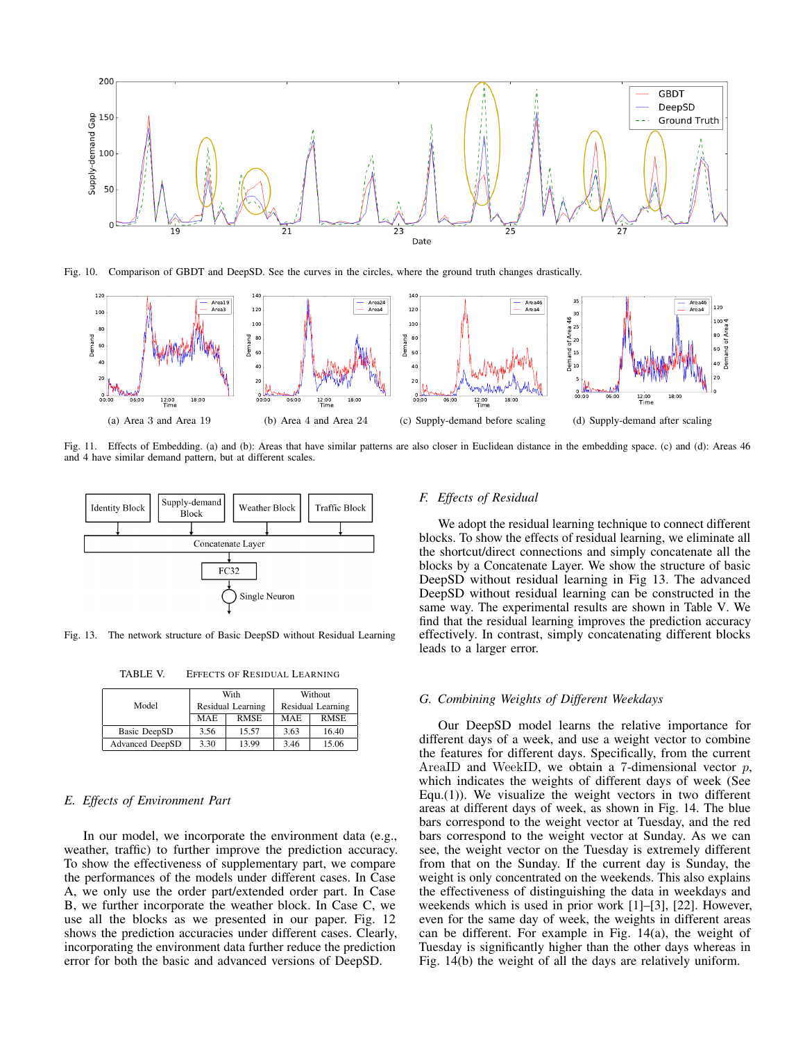

Fig. 10. Comparison of GBDT and DeepSD. See the curves in the circles, where the ground truth changes drastically.



Fig. 11. Effects of Embedding. (a) and (b): Areas that have similar patterns are also closer in Euclidean distance in the embedding space. (c) and (d): Areas 46 and 4 have similar demand pattern, but at different scales.



Fig. 13. The network structure of Basic DeepSD without Residual Learning

TABLE V. EFFECTS OF RESIDUAL LEARNING

|                        |            | With              | Without           |             |  |
|------------------------|------------|-------------------|-------------------|-------------|--|
| Model                  |            | Residual Learning | Residual Learning |             |  |
|                        | <b>MAE</b> | <b>RMSE</b>       | <b>MAE</b>        | <b>RMSE</b> |  |
| Basic DeepSD           | 3.56       | 15.57             | 3.63              | 16.40       |  |
| <b>Advanced DeepSD</b> | 3.30       | 13.99             | 3.46              | 15.06       |  |

# *E. Effects of Environment Part*

In our model, we incorporate the environment data (e.g., weather, traffic) to further improve the prediction accuracy. To show the effectiveness of supplementary part, we compare the performances of the models under different cases. In Case A, we only use the order part/extended order part. In Case B, we further incorporate the weather block. In Case C, we use all the blocks as we presented in our paper. Fig. 12 shows the prediction accuracies under different cases. Clearly, incorporating the environment data further reduce the prediction error for both the basic and advanced versions of DeepSD.

# *F. Effects of Residual*

We adopt the residual learning technique to connect different blocks. To show the effects of residual learning, we eliminate all the shortcut/direct connections and simply concatenate all the blocks by a Concatenate Layer. We show the structure of basic DeepSD without residual learning in Fig 13. The advanced DeepSD without residual learning can be constructed in the same way. The experimental results are shown in Table V. We find that the residual learning improves the prediction accuracy effectively. In contrast, simply concatenating different blocks leads to a larger error.

# *G. Combining Weights of Different Weekdays*

Our DeepSD model learns the relative importance for different days of a week, and use a weight vector to combine the features for different days. Specifically, from the current AreaID and WeekID, we obtain a 7-dimensional vector  $p$ , which indicates the weights of different days of week (See Equ. $(1)$ ). We visualize the weight vectors in two different areas at different days of week, as shown in Fig. 14. The blue bars correspond to the weight vector at Tuesday, and the red bars correspond to the weight vector at Sunday. As we can see, the weight vector on the Tuesday is extremely different from that on the Sunday. If the current day is Sunday, the weight is only concentrated on the weekends. This also explains the effectiveness of distinguishing the data in weekdays and weekends which is used in prior work [1]–[3], [22]. However, even for the same day of week, the weights in different areas can be different. For example in Fig. 14(a), the weight of Tuesday is significantly higher than the other days whereas in Fig. 14(b) the weight of all the days are relatively uniform.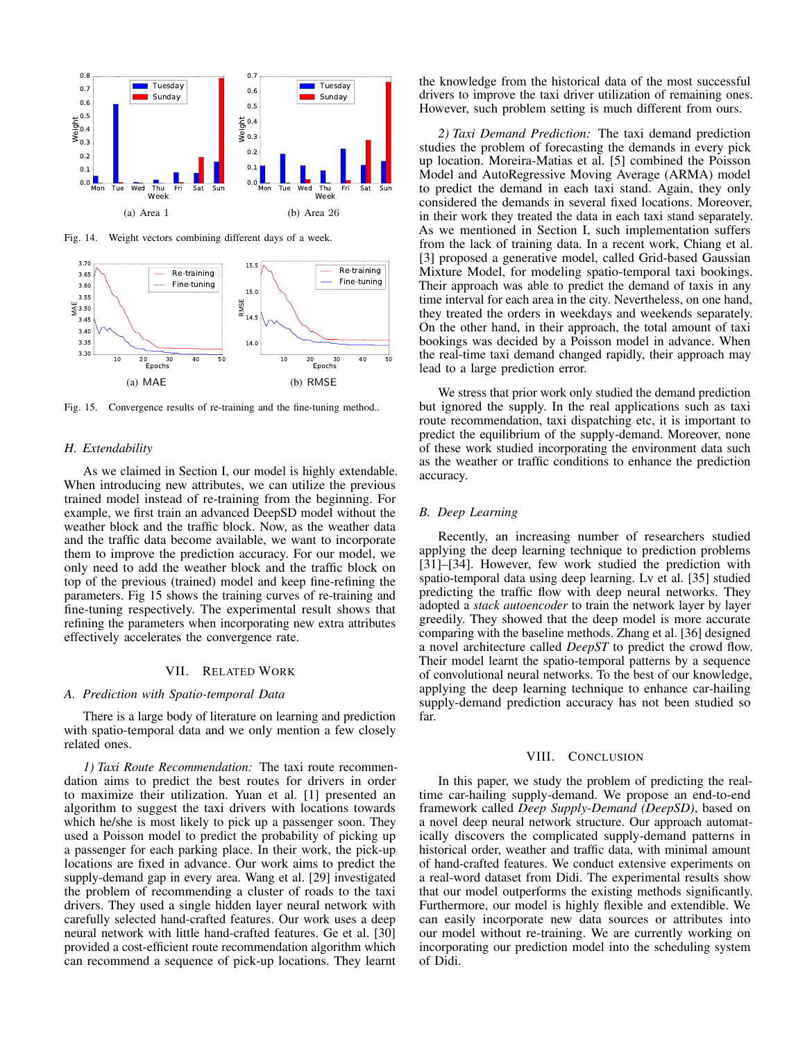

Fig. 14. Weight vectors combining different days of a week.



Fig. 15. Convergence results of re-training and the fine-tuning method..

# *H. Extendability*

As we claimed in Section I, our model is highly extendable. When introducing new attributes, we can utilize the previous trained model instead of re-training from the beginning. For example, we first train an advanced DeepSD model without the weather block and the traffic block. Now, as the weather data and the traffic data become available, we want to incorporate them to improve the prediction accuracy. For our model, we only need to add the weather block and the traffic block on top of the previous (trained) model and keep fine-refining the parameters. Fig 15 shows the training curves of re-training and fine-tuning respectively. The experimental result shows that refining the parameters when incorporating new extra attributes effectively accelerates the convergence rate.

## VII. RELATED WORK

## *A. Prediction with Spatio-temporal Data*

There is a large body of literature on learning and prediction with spatio-temporal data and we only mention a few closely related ones.

*1) Taxi Route Recommendation:* The taxi route recommendation aims to predict the best routes for drivers in order to maximize their utilization. Yuan et al. [1] presented an algorithm to suggest the taxi drivers with locations towards which he/she is most likely to pick up a passenger soon. They used a Poisson model to predict the probability of picking up a passenger for each parking place. In their work, the pick-up locations are fixed in advance. Our work aims to predict the supply-demand gap in every area. Wang et al. [29] investigated the problem of recommending a cluster of roads to the taxi drivers. They used a single hidden layer neural network with carefully selected hand-crafted features. Our work uses a deep neural network with little hand-crafted features. Ge et al. [30] provided a cost-efficient route recommendation algorithm which can recommend a sequence of pick-up locations. They learnt the knowledge from the historical data of the most successful drivers to improve the taxi driver utilization of remaining ones. However, such problem setting is much different from ours.

*2) Taxi Demand Prediction:* The taxi demand prediction studies the problem of forecasting the demands in every pick up location. Moreira-Matias et al. [5] combined the Poisson Model and AutoRegressive Moving Average (ARMA) model to predict the demand in each taxi stand. Again, they only considered the demands in several fixed locations. Moreover, in their work they treated the data in each taxi stand separately. As we mentioned in Section I, such implementation suffers from the lack of training data. In a recent work, Chiang et al. [3] proposed a generative model, called Grid-based Gaussian Mixture Model, for modeling spatio-temporal taxi bookings. Their approach was able to predict the demand of taxis in any time interval for each area in the city. Nevertheless, on one hand, they treated the orders in weekdays and weekends separately. On the other hand, in their approach, the total amount of taxi bookings was decided by a Poisson model in advance. When the real-time taxi demand changed rapidly, their approach may lead to a large prediction error.

We stress that prior work only studied the demand prediction but ignored the supply. In the real applications such as taxi route recommendation, taxi dispatching etc, it is important to predict the equilibrium of the supply-demand. Moreover, none of these work studied incorporating the environment data such as the weather or traffic conditions to enhance the prediction accuracy.

#### *B. Deep Learning*

Recently, an increasing number of researchers studied applying the deep learning technique to prediction problems [31]–[34]. However, few work studied the prediction with spatio-temporal data using deep learning. Lv et al. [35] studied predicting the traffic flow with deep neural networks. They adopted a *stack autoencoder* to train the network layer by layer greedily. They showed that the deep model is more accurate comparing with the baseline methods. Zhang et al. [36] designed a novel architecture called *DeepST* to predict the crowd flow. Their model learnt the spatio-temporal patterns by a sequence of convolutional neural networks. To the best of our knowledge, applying the deep learning technique to enhance car-hailing supply-demand prediction accuracy has not been studied so far.

#### VIII. CONCLUSION

In this paper, we study the problem of predicting the realtime car-hailing supply-demand. We propose an end-to-end framework called *Deep Supply-Demand (DeepSD)*, based on a novel deep neural network structure. Our approach automatically discovers the complicated supply-demand patterns in historical order, weather and traffic data, with minimal amount of hand-crafted features. We conduct extensive experiments on a real-word dataset from Didi. The experimental results show that our model outperforms the existing methods significantly. Furthermore, our model is highly flexible and extendible. We can easily incorporate new data sources or attributes into our model without re-training. We are currently working on incorporating our prediction model into the scheduling system of Didi.